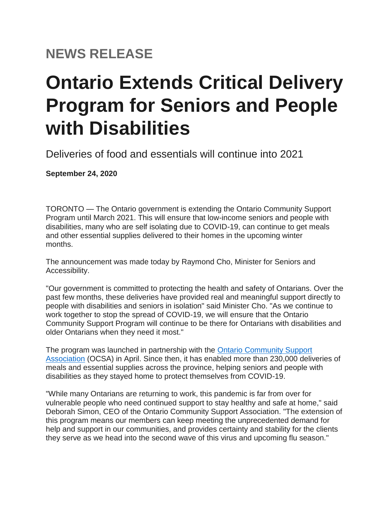## **NEWS RELEASE**

## **Ontario Extends Critical Delivery Program for Seniors and People with Disabilities**

Deliveries of food and essentials will continue into 2021

**September 24, 2020**

TORONTO — The Ontario government is extending the Ontario Community Support Program until March 2021. This will ensure that low-income seniors and people with disabilities, many who are self isolating due to COVID-19, can continue to get meals and other essential supplies delivered to their homes in the upcoming winter months.

The announcement was made today by Raymond Cho, Minister for Seniors and Accessibility.

"Our government is committed to protecting the health and safety of Ontarians. Over the past few months, these deliveries have provided real and meaningful support directly to people with disabilities and seniors in isolation" said Minister Cho. "As we continue to work together to stop the spread of COVID-19, we will ensure that the Ontario Community Support Program will continue to be there for Ontarians with disabilities and older Ontarians when they need it most."

The program was launched in partnership with the [Ontario Community Support](http://www.ocsa.on.ca/)  [Association](http://www.ocsa.on.ca/) (OCSA) in April. Since then, it has enabled more than 230,000 deliveries of meals and essential supplies across the province, helping seniors and people with disabilities as they stayed home to protect themselves from COVID-19.

"While many Ontarians are returning to work, this pandemic is far from over for vulnerable people who need continued support to stay healthy and safe at home," said Deborah Simon, CEO of the Ontario Community Support Association. "The extension of this program means our members can keep meeting the unprecedented demand for help and support in our communities, and provides certainty and stability for the clients they serve as we head into the second wave of this virus and upcoming flu season."